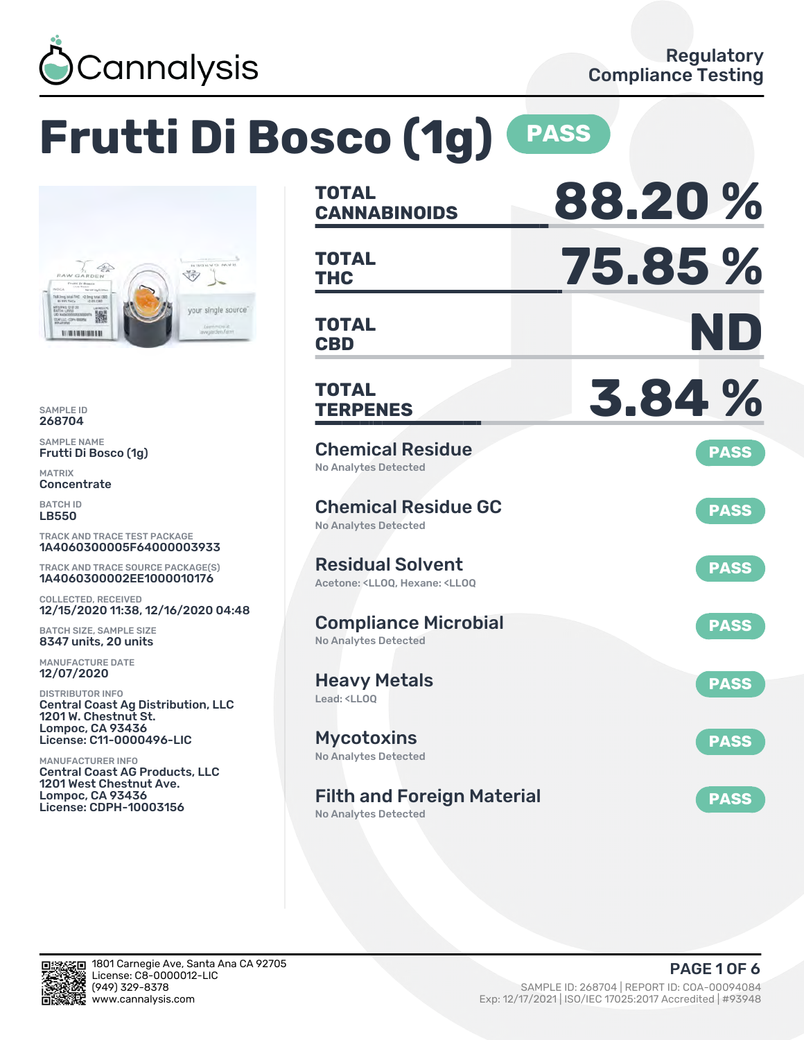

# **Frutti Di Bosco (1g) PASS**



SAMPLE ID 268704

SAMPLE NAME Frutti Di Bosco (1g)

MATRIX **Concentrate** 

BATCH ID LB550

TRACK AND TRACE TEST PACKAGE 1A4060300005F64000003933

TRACK AND TRACE SOURCE PACKAGE(S) 1A4060300002EE1000010176

COLLECTED, RECEIVED 12/15/2020 11:38, 12/16/2020 04:48

BATCH SIZE, SAMPLE SIZE 8347 units, 20 units

MANUFACTURE DATE 12/07/2020

DISTRIBUTOR INFO Central Coast Ag Distribution, LLC 1201 W. Chestnut St. Lompoc, CA 93436 License: C11-0000496-LIC

MANUFACTURER INFO Central Coast AG Products, LLC 1201 West Chestnut Ave. Lompoc, CA 93436 License: CDPH-10003156

| <b>TOTAL</b>                                                                                       | 88.20%      |
|----------------------------------------------------------------------------------------------------|-------------|
| <b>CANNABINOIDS</b>                                                                                |             |
| <b>TOTAL</b><br><b>THC</b>                                                                         | 75.85 %     |
|                                                                                                    |             |
| <b>TOTAL</b><br><b>CBD</b>                                                                         | ND          |
| <b>TOTAL</b><br><b>TERPENES</b>                                                                    | 3.84%       |
| <b>Chemical Residue</b><br><b>No Analytes Detected</b>                                             | <b>PASS</b> |
| <b>Chemical Residue GC</b><br>No Analytes Detected                                                 | <b>PASS</b> |
| <b>Residual Solvent</b><br>Acetone: <lloq, <lloq<="" hexane:="" td=""><td><b>PASS</b></td></lloq,> | <b>PASS</b> |
| <b>Compliance Microbial</b><br>No Analytes Detected                                                | <b>PASS</b> |
| <b>Heavy Metals</b><br>Lead: <ll00< td=""><td><b>PASS</b></td></ll00<>                             | <b>PASS</b> |
| Mycotoxins<br>No Analytes Detected                                                                 | <b>PASS</b> |
| <b>Filth and Foreign Material</b><br>No Analytes Detected                                          | <b>PASS</b> |

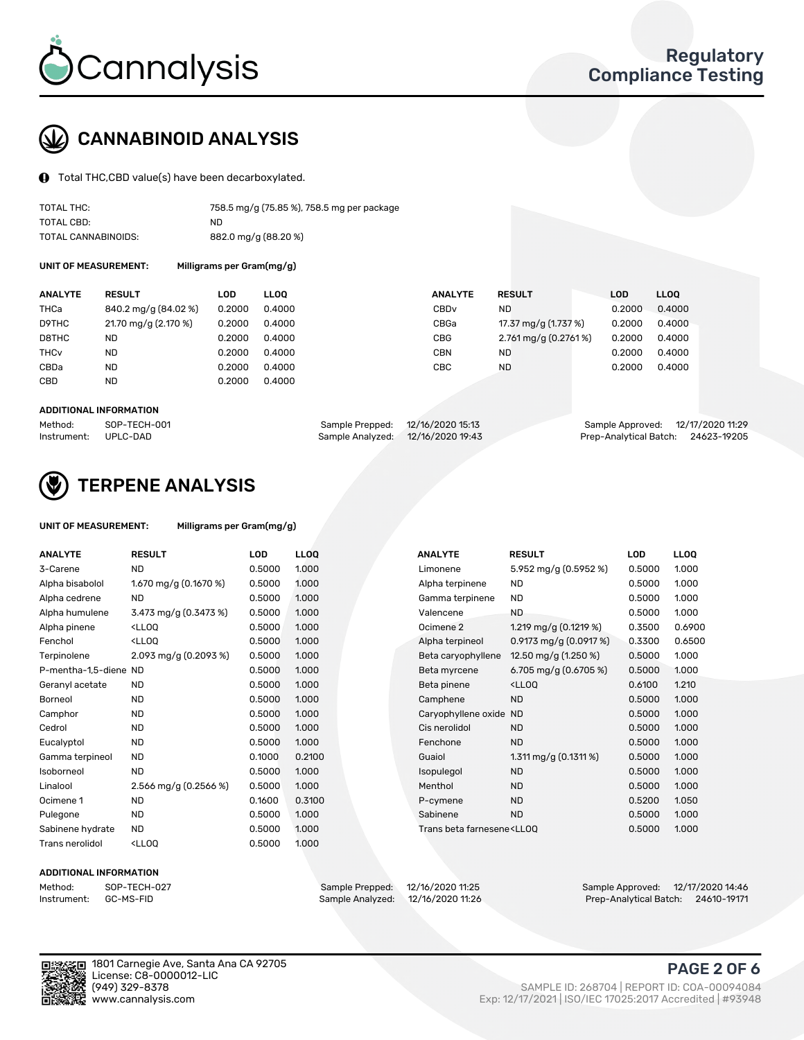

## CANNABINOID ANALYSIS

Total THC,CBD value(s) have been decarboxylated.

| TOTAL THC:          | 758.5 mg/g (75.85 %), 758.5 mg per package |
|---------------------|--------------------------------------------|
| TOTAL CBD:          | ND.                                        |
| TOTAL CANNABINOIDS: | 882.0 mg/g (88.20 %)                       |

UNIT OF MEASUREMENT:

|  |  | Milligrams per Gram(mg/g) |
|--|--|---------------------------|
|--|--|---------------------------|

| <b>ANALYTE</b>         | <b>RESULT</b>        | LOD    | <b>LLOO</b> | <b>ANALYTE</b>   | <b>RESULT</b>         | <b>LOD</b> | LL <sub>00</sub> |
|------------------------|----------------------|--------|-------------|------------------|-----------------------|------------|------------------|
| THCa                   | 840.2 mg/g (84.02 %) | 0.2000 | 0.4000      | CBD <sub>v</sub> | <b>ND</b>             | 0.2000     | 0.4000           |
| D9THC                  | 21.70 mg/g (2.170 %) | 0.2000 | 0.4000      | CBGa             | 17.37 mg/g (1.737 %)  | 0.2000     | 0.4000           |
| D8THC                  | <b>ND</b>            | 0.2000 | 0.4000      | <b>CBG</b>       | 2.761 mg/g (0.2761 %) | 0.2000     | 0.4000           |
| <b>THC<sub>v</sub></b> | <b>ND</b>            | 0.2000 | 0.4000      | <b>CBN</b>       | <b>ND</b>             | 0.2000     | 0.4000           |
| CBDa                   | <b>ND</b>            | 0.2000 | 0.4000      | CBC              | <b>ND</b>             | 0.2000     | 0.4000           |
| CBD                    | <b>ND</b>            | 0.2000 | 0.4000      |                  |                       |            |                  |
|                        |                      |        |             |                  |                       |            |                  |

#### ADDITIONAL INFORMATION

| Method:              | SOP-TECH-001 | Sample Prepped: 12/16/2020 15:13  | Sample Approved: 12/17/2020 11:29  |  |
|----------------------|--------------|-----------------------------------|------------------------------------|--|
| Instrument: UPLC-DAD |              | Sample Analyzed: 12/16/2020 19:43 | Prep-Analytical Batch: 24623-19205 |  |



## TERPENE ANALYSIS

#### UNIT OF MEASUREMENT: Milligrams per Gram(mg/g)

| <b>ANALYTE</b>        | <b>RESULT</b>                                                                                                                                       | LOD    | <b>LLOQ</b> | <b>ANALYTE</b>                                                                   | <b>RESULT</b>                                      | <b>LOD</b> | <b>LLOQ</b> |
|-----------------------|-----------------------------------------------------------------------------------------------------------------------------------------------------|--------|-------------|----------------------------------------------------------------------------------|----------------------------------------------------|------------|-------------|
| 3-Carene              | <b>ND</b>                                                                                                                                           | 0.5000 | 1.000       | Limonene                                                                         | 5.952 mg/g (0.5952 %)                              | 0.5000     | 1.000       |
| Alpha bisabolol       | 1.670 mg/g (0.1670 %)                                                                                                                               | 0.5000 | 1.000       | Alpha terpinene                                                                  | <b>ND</b>                                          | 0.5000     | 1.000       |
| Alpha cedrene         | <b>ND</b>                                                                                                                                           | 0.5000 | 1.000       | Gamma terpinene                                                                  | <b>ND</b>                                          | 0.5000     | 1.000       |
| Alpha humulene        | 3.473 mg/g $(0.3473%)$                                                                                                                              | 0.5000 | 1.000       | Valencene                                                                        | ND.                                                | 0.5000     | 1.000       |
| Alpha pinene          | <lloq< td=""><td>0.5000</td><td>1.000</td><td>Ocimene 2</td><td>1.219 mg/g <math>(0.1219%)</math></td><td>0.3500</td><td>0.6900</td></lloq<>        | 0.5000 | 1.000       | Ocimene 2                                                                        | 1.219 mg/g $(0.1219%)$                             | 0.3500     | 0.6900      |
| Fenchol               | <ll0q< td=""><td>0.5000</td><td>1.000</td><td>Alpha terpineol</td><td>0.9173 mg/g <math>(0.0917%)</math></td><td>0.3300</td><td>0.6500</td></ll0q<> | 0.5000 | 1.000       | Alpha terpineol                                                                  | 0.9173 mg/g $(0.0917%)$                            | 0.3300     | 0.6500      |
| Terpinolene           | 2.093 mg/g (0.2093 %)                                                                                                                               | 0.5000 | 1.000       | Beta caryophyllene                                                               | 12.50 mg/g (1.250 %)                               | 0.5000     | 1.000       |
| P-mentha-1,5-diene ND |                                                                                                                                                     | 0.5000 | 1.000       | Beta myrcene                                                                     | 6.705 mg/g $(0.6705\%)$                            | 0.5000     | 1.000       |
| Geranyl acetate       | <b>ND</b>                                                                                                                                           | 0.5000 | 1.000       | Beta pinene                                                                      | <lloq< td=""><td>0.6100</td><td>1.210</td></lloq<> | 0.6100     | 1.210       |
| <b>Borneol</b>        | <b>ND</b>                                                                                                                                           | 0.5000 | 1.000       | Camphene                                                                         | <b>ND</b>                                          | 0.5000     | 1.000       |
| Camphor               | <b>ND</b>                                                                                                                                           | 0.5000 | 1.000       | Caryophyllene oxide                                                              | <b>ND</b>                                          | 0.5000     | 1.000       |
| Cedrol                | <b>ND</b>                                                                                                                                           | 0.5000 | 1.000       | Cis nerolidol                                                                    | <b>ND</b>                                          | 0.5000     | 1.000       |
| Eucalyptol            | <b>ND</b>                                                                                                                                           | 0.5000 | 1.000       | Fenchone                                                                         | <b>ND</b>                                          | 0.5000     | 1.000       |
| Gamma terpineol       | <b>ND</b>                                                                                                                                           | 0.1000 | 0.2100      | Guaiol                                                                           | $1.311$ mg/g (0.1311 %)                            | 0.5000     | 1.000       |
| Isoborneol            | <b>ND</b>                                                                                                                                           | 0.5000 | 1.000       | Isopulegol                                                                       | <b>ND</b>                                          | 0.5000     | 1.000       |
| Linalool              | 2.566 mg/g (0.2566 %)                                                                                                                               | 0.5000 | 1.000       | Menthol                                                                          | <b>ND</b>                                          | 0.5000     | 1.000       |
| Ocimene 1             | <b>ND</b>                                                                                                                                           | 0.1600 | 0.3100      | P-cymene                                                                         | <b>ND</b>                                          | 0.5200     | 1.050       |
| Pulegone              | <b>ND</b>                                                                                                                                           | 0.5000 | 1.000       | Sabinene                                                                         | <b>ND</b>                                          | 0.5000     | 1.000       |
| Sabinene hydrate      | <b>ND</b>                                                                                                                                           | 0.5000 | 1.000       | Trans beta farnesene <ll00< td=""><td></td><td>0.5000</td><td>1.000</td></ll00<> |                                                    | 0.5000     | 1.000       |
| Trans nerolidol       | <ll0q< td=""><td>0.5000</td><td>1.000</td><td></td><td></td><td></td><td></td></ll0q<>                                                              | 0.5000 | 1.000       |                                                                                  |                                                    |            |             |

| <b>NALYTE</b>                                                                      | <b>RESULT</b>                                      | LOD    | <b>LLOO</b> |
|------------------------------------------------------------------------------------|----------------------------------------------------|--------|-------------|
| imonene                                                                            | 5.952 mg/g (0.5952 %)                              | 0.5000 | 1.000       |
| lpha terpinene                                                                     | <b>ND</b>                                          | 0.5000 | 1.000       |
| amma terpinene                                                                     | <b>ND</b>                                          | 0.5000 | 1.000       |
| alencene                                                                           | ND.                                                | 0.5000 | 1.000       |
| cimene 2                                                                           | 1.219 mg/g $(0.1219%)$                             | 0.3500 | 0.6900      |
| Ipha terpineol                                                                     | 0.9173 mg/g $(0.0917%)$                            | 0.3300 | 0.6500      |
| eta caryophyllene                                                                  | 12.50 mg/g (1.250 %)                               | 0.5000 | 1.000       |
| eta myrcene                                                                        | 6.705 mg/g $(0.6705\%)$                            | 0.5000 | 1.000       |
| eta pinene                                                                         | <lloo< td=""><td>0.6100</td><td>1.210</td></lloo<> | 0.6100 | 1.210       |
| amphene                                                                            | <b>ND</b>                                          | 0.5000 | 1.000       |
| aryophyllene oxide                                                                 | <b>ND</b>                                          | 0.5000 | 1.000       |
| is nerolidol                                                                       | <b>ND</b>                                          | 0.5000 | 1.000       |
| enchone                                                                            | <b>ND</b>                                          | 0.5000 | 1.000       |
| uaiol                                                                              | 1.311 mg/g $(0.1311%)$                             | 0.5000 | 1.000       |
| sopulegol                                                                          | <b>ND</b>                                          | 0.5000 | 1.000       |
| lenthol                                                                            | <b>ND</b>                                          | 0.5000 | 1.000       |
| -cymene                                                                            | <b>ND</b>                                          | 0.5200 | 1.050       |
| abinene                                                                            | ND                                                 | 0.5000 | 1.000       |
| rans beta farnesene <l 00<="" i="" td=""><td></td><td>0.5000</td><td>1000</td></l> |                                                    | 0.5000 | 1000        |

#### ADDITIONAL INFORMATION

Method: SOP-TECH-027 Sample Prepped: 12/16/2020 11:25 Sample Approved: 12/17/2020 14:46 Prep-Analytical Batch: 24610-19171



Exp: 12/17/2021 | ISO/IEC 17025:2017 Accredited | #93948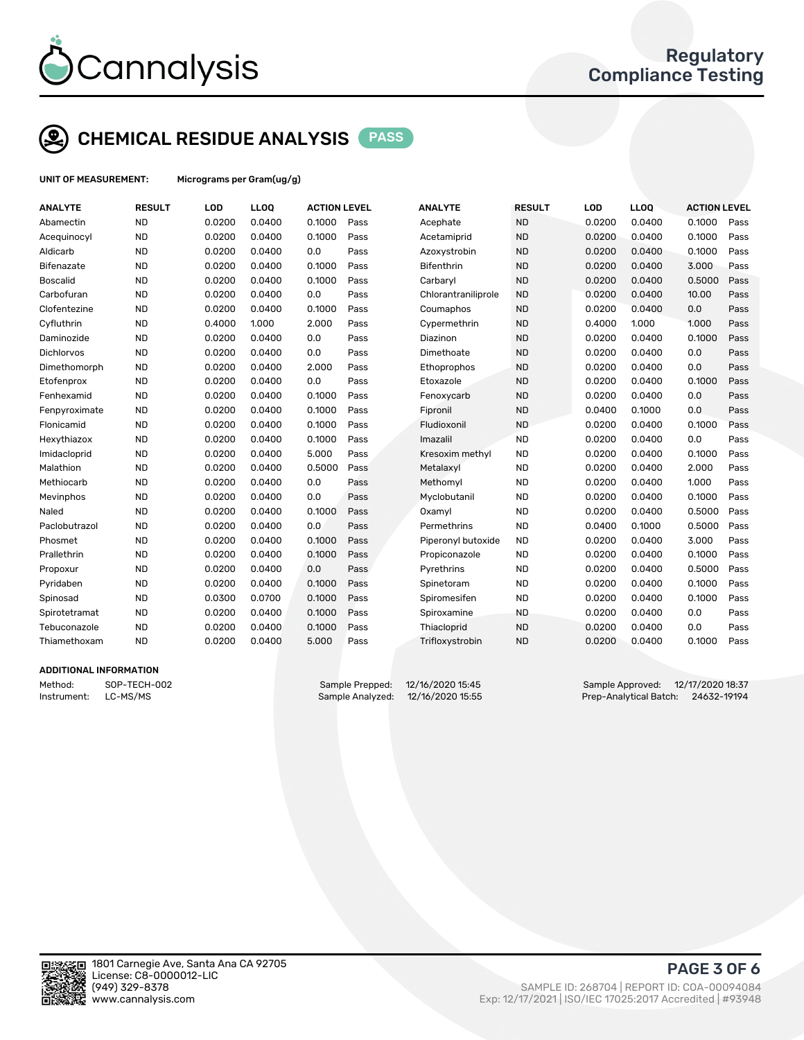

## CHEMICAL RESIDUE ANALYSIS PASS

UNIT OF MEASUREMENT: Micrograms per Gram(ug/g)

| <b>ANALYTE</b>         | <b>RESULT</b> | LOD    | LLOQ   | <b>ACTION LEVEL</b> |      | <b>ANALYTE</b>      | <b>RESULT</b> | LOD    | <b>LLOQ</b> | <b>ACTION LEVEL</b> |      |
|------------------------|---------------|--------|--------|---------------------|------|---------------------|---------------|--------|-------------|---------------------|------|
| Abamectin              | <b>ND</b>     | 0.0200 | 0.0400 | 0.1000              | Pass | Acephate            | <b>ND</b>     | 0.0200 | 0.0400      | 0.1000              | Pass |
| Acequinocyl            | <b>ND</b>     | 0.0200 | 0.0400 | 0.1000              | Pass | Acetamiprid         | <b>ND</b>     | 0.0200 | 0.0400      | 0.1000              | Pass |
| Aldicarb               | <b>ND</b>     | 0.0200 | 0.0400 | 0.0                 | Pass | Azoxystrobin        | <b>ND</b>     | 0.0200 | 0.0400      | 0.1000              | Pass |
| Bifenazate             | <b>ND</b>     | 0.0200 | 0.0400 | 0.1000              | Pass | <b>Bifenthrin</b>   | <b>ND</b>     | 0.0200 | 0.0400      | 3.000               | Pass |
| <b>Boscalid</b>        | <b>ND</b>     | 0.0200 | 0.0400 | 0.1000              | Pass | Carbaryl            | <b>ND</b>     | 0.0200 | 0.0400      | 0.5000              | Pass |
| Carbofuran             | <b>ND</b>     | 0.0200 | 0.0400 | 0.0                 | Pass | Chlorantraniliprole | <b>ND</b>     | 0.0200 | 0.0400      | 10.00               | Pass |
| Clofentezine           | <b>ND</b>     | 0.0200 | 0.0400 | 0.1000              | Pass | Coumaphos           | <b>ND</b>     | 0.0200 | 0.0400      | 0.0                 | Pass |
| Cyfluthrin             | <b>ND</b>     | 0.4000 | 1.000  | 2.000               | Pass | Cypermethrin        | <b>ND</b>     | 0.4000 | 1.000       | 1.000               | Pass |
| Daminozide             | <b>ND</b>     | 0.0200 | 0.0400 | 0.0                 | Pass | Diazinon            | <b>ND</b>     | 0.0200 | 0.0400      | 0.1000              | Pass |
| Dichlorvos             | <b>ND</b>     | 0.0200 | 0.0400 | 0.0                 | Pass | Dimethoate          | <b>ND</b>     | 0.0200 | 0.0400      | 0.0                 | Pass |
| Dimethomorph           | <b>ND</b>     | 0.0200 | 0.0400 | 2.000               | Pass | Ethoprophos         | <b>ND</b>     | 0.0200 | 0.0400      | 0.0                 | Pass |
| Etofenprox             | <b>ND</b>     | 0.0200 | 0.0400 | 0.0                 | Pass | Etoxazole           | <b>ND</b>     | 0.0200 | 0.0400      | 0.1000              | Pass |
| Fenhexamid             | <b>ND</b>     | 0.0200 | 0.0400 | 0.1000              | Pass | Fenoxycarb          | <b>ND</b>     | 0.0200 | 0.0400      | 0.0                 | Pass |
| Fenpyroximate          | <b>ND</b>     | 0.0200 | 0.0400 | 0.1000              | Pass | Fipronil            | <b>ND</b>     | 0.0400 | 0.1000      | 0.0                 | Pass |
| Flonicamid             | <b>ND</b>     | 0.0200 | 0.0400 | 0.1000              | Pass | Fludioxonil         | <b>ND</b>     | 0.0200 | 0.0400      | 0.1000              | Pass |
| Hexythiazox            | <b>ND</b>     | 0.0200 | 0.0400 | 0.1000              | Pass | Imazalil            | <b>ND</b>     | 0.0200 | 0.0400      | 0.0                 | Pass |
| Imidacloprid           | <b>ND</b>     | 0.0200 | 0.0400 | 5.000               | Pass | Kresoxim methyl     | <b>ND</b>     | 0.0200 | 0.0400      | 0.1000              | Pass |
| Malathion              | <b>ND</b>     | 0.0200 | 0.0400 | 0.5000              | Pass | Metalaxyl           | <b>ND</b>     | 0.0200 | 0.0400      | 2.000               | Pass |
| Methiocarb             | <b>ND</b>     | 0.0200 | 0.0400 | 0.0                 | Pass | Methomyl            | <b>ND</b>     | 0.0200 | 0.0400      | 1.000               | Pass |
| Mevinphos              | <b>ND</b>     | 0.0200 | 0.0400 | 0.0                 | Pass | Myclobutanil        | <b>ND</b>     | 0.0200 | 0.0400      | 0.1000              | Pass |
| Naled                  | <b>ND</b>     | 0.0200 | 0.0400 | 0.1000              | Pass | Oxamyl              | <b>ND</b>     | 0.0200 | 0.0400      | 0.5000              | Pass |
| Paclobutrazol          | <b>ND</b>     | 0.0200 | 0.0400 | 0.0                 | Pass | Permethrins         | <b>ND</b>     | 0.0400 | 0.1000      | 0.5000              | Pass |
| Phosmet                | <b>ND</b>     | 0.0200 | 0.0400 | 0.1000              | Pass | Piperonyl butoxide  | <b>ND</b>     | 0.0200 | 0.0400      | 3.000               | Pass |
| Prallethrin            | <b>ND</b>     | 0.0200 | 0.0400 | 0.1000              | Pass | Propiconazole       | <b>ND</b>     | 0.0200 | 0.0400      | 0.1000              | Pass |
| Propoxur               | <b>ND</b>     | 0.0200 | 0.0400 | 0.0                 | Pass | Pyrethrins          | <b>ND</b>     | 0.0200 | 0.0400      | 0.5000              | Pass |
| Pyridaben              | <b>ND</b>     | 0.0200 | 0.0400 | 0.1000              | Pass | Spinetoram          | <b>ND</b>     | 0.0200 | 0.0400      | 0.1000              | Pass |
| Spinosad               | <b>ND</b>     | 0.0300 | 0.0700 | 0.1000              | Pass | Spiromesifen        | <b>ND</b>     | 0.0200 | 0.0400      | 0.1000              | Pass |
| Spirotetramat          | <b>ND</b>     | 0.0200 | 0.0400 | 0.1000              | Pass | Spiroxamine         | <b>ND</b>     | 0.0200 | 0.0400      | 0.0                 | Pass |
| Tebuconazole           | <b>ND</b>     | 0.0200 | 0.0400 | 0.1000              | Pass | Thiacloprid         | <b>ND</b>     | 0.0200 | 0.0400      | 0.0                 | Pass |
| Thiamethoxam           | <b>ND</b>     | 0.0200 | 0.0400 | 5.000               | Pass | Trifloxystrobin     | <b>ND</b>     | 0.0200 | 0.0400      | 0.1000              | Pass |
| ADDITIONAL INFODUATION |               |        |        |                     |      |                     |               |        |             |                     |      |

#### ADDITIONAL INFORMATION

Instrument: LC-MS/MS Sample Analyzed: 12/16/2020 15:55 Prep-Analytical Batch: 24632-19194

Method: SOP-TECH-002 Sample Prepped: 12/16/2020 15:45 Sample Approved: 12/17/2020 18:37



PAGE 3 OF 6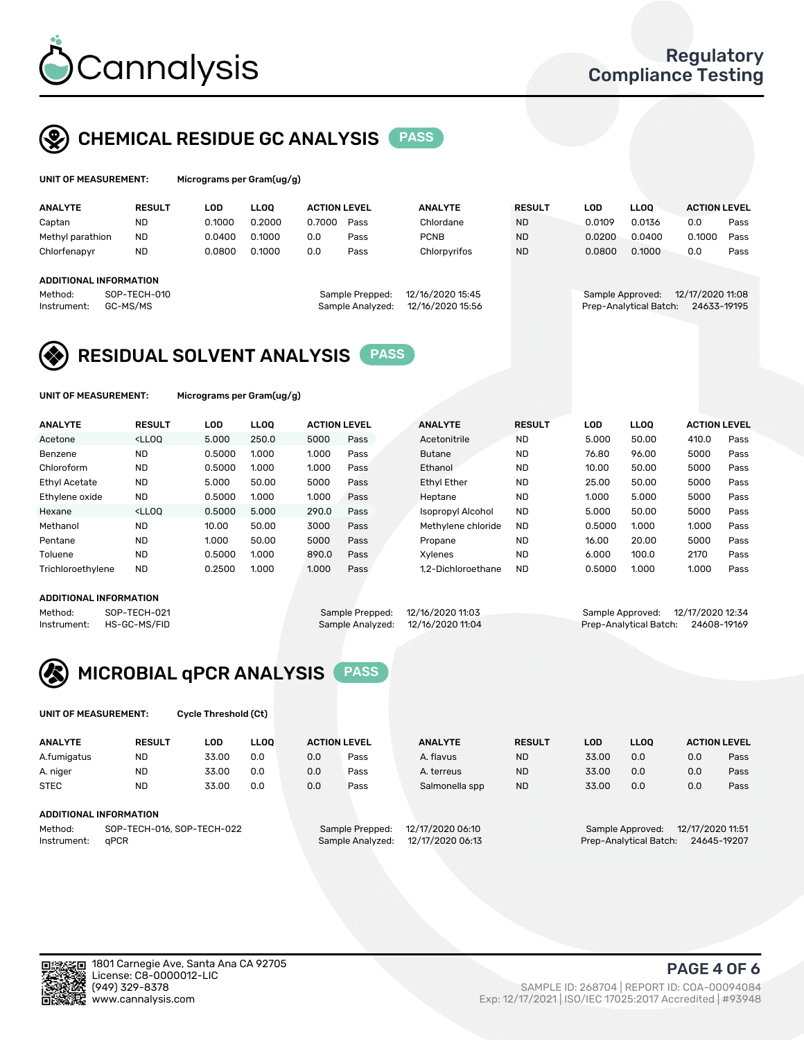

## CHEMICAL RESIDUE GC ANALYSIS PASS

| UNIT OF MEASUREMENT: |               | Micrograms per Gram(ug/g) |      |              |  |  |  |  |
|----------------------|---------------|---------------------------|------|--------------|--|--|--|--|
| <b>ANALYTE</b>       | <b>RESULT</b> | LOD                       | LLOO | <b>ACTIO</b> |  |  |  |  |

|                                                    |                        |                      |        |                                      |                                                            |                |                                 | <b>ACTION LEVEL</b>                                                                   |                        |
|----------------------------------------------------|------------------------|----------------------|--------|--------------------------------------|------------------------------------------------------------|----------------|---------------------------------|---------------------------------------------------------------------------------------|------------------------|
| <b>ND</b>                                          | 0.1000                 | 0.2000               | 0.7000 | Pass                                 | Chlordane                                                  | <b>ND</b>      | 0.0136                          | 0.0                                                                                   | Pass                   |
| Methyl parathion<br><b>ND</b>                      | 0.0400                 | 0.1000               | 0.0    | Pass                                 | <b>PCNB</b>                                                | <b>ND</b>      | 0.0400                          | 0.1000                                                                                | Pass                   |
| <b>ND</b>                                          | 0.0800                 | 0.1000               | 0.0    | Pass                                 | Chlorpyrifos                                               | <b>ND</b>      | 0.1000                          | 0.0                                                                                   | Pass                   |
|                                                    |                        |                      |        |                                      |                                                            |                |                                 |                                                                                       |                        |
|                                                    |                        |                      |        |                                      |                                                            |                |                                 |                                                                                       |                        |
| SOP-TECH-010<br>Method:<br>GC-MS/MS<br>Instrument: |                        |                      |        | 12/16/2020 15:45<br>12/16/2020 15:56 |                                                            |                | 12/17/2020 11:08<br>24633-19195 |                                                                                       |                        |
|                                                    | ADDITIONAL INFORMATION | LOD<br><b>RESULT</b> | LLOO   |                                      | <b>ACTION LEVEL</b><br>Sample Prepped:<br>Sample Analyzed: | <b>ANALYTE</b> |                                 | LOD<br><b>LLOO</b><br><b>RESULT</b><br>0.0109<br>0.0200<br>0.0800<br>Sample Approved: | Prep-Analytical Batch: |

## RESIDUAL SOLVENT ANALYSIS PASS

UNIT OF MEASUREMENT: Micrograms per Gram(ug/g)

| <b>ANALYTE</b>       | <b>RESULT</b>                                                                                                                                                                          | <b>LOD</b> | <b>LLOO</b> | <b>ACTION LEVEL</b> |      | <b>ANALYTE</b>           | <b>RESULT</b> | LOD    | <b>LLOO</b> | <b>ACTION LEVEL</b> |      |
|----------------------|----------------------------------------------------------------------------------------------------------------------------------------------------------------------------------------|------------|-------------|---------------------|------|--------------------------|---------------|--------|-------------|---------------------|------|
| Acetone              | <lloo< td=""><td>5.000</td><td>250.0</td><td>5000</td><td>Pass</td><td>Acetonitrile</td><td><b>ND</b></td><td>5.000</td><td>50.00</td><td>410.0</td><td>Pass</td></lloo<>              | 5.000      | 250.0       | 5000                | Pass | Acetonitrile             | <b>ND</b>     | 5.000  | 50.00       | 410.0               | Pass |
| Benzene              | <b>ND</b>                                                                                                                                                                              | 0.5000     | 1.000       | 1.000               | Pass | <b>Butane</b>            | <b>ND</b>     | 76.80  | 96.00       | 5000                | Pass |
| Chloroform           | <b>ND</b>                                                                                                                                                                              | 0.5000     | 1.000       | 1.000               | Pass | Ethanol                  | <b>ND</b>     | 10.00  | 50.00       | 5000                | Pass |
| <b>Ethyl Acetate</b> | <b>ND</b>                                                                                                                                                                              | 5.000      | 50.00       | 5000                | Pass | <b>Ethyl Ether</b>       | <b>ND</b>     | 25.00  | 50.00       | 5000                | Pass |
| Ethylene oxide       | <b>ND</b>                                                                                                                                                                              | 0.5000     | 1.000       | 1.000               | Pass | Heptane                  | <b>ND</b>     | 1.000  | 5.000       | 5000                | Pass |
| Hexane               | <lloo< td=""><td>0.5000</td><td>5.000</td><td>290.0</td><td>Pass</td><td><b>Isopropyl Alcohol</b></td><td><b>ND</b></td><td>5.000</td><td>50.00</td><td>5000</td><td>Pass</td></lloo<> | 0.5000     | 5.000       | 290.0               | Pass | <b>Isopropyl Alcohol</b> | <b>ND</b>     | 5.000  | 50.00       | 5000                | Pass |
| Methanol             | <b>ND</b>                                                                                                                                                                              | 10.00      | 50.00       | 3000                | Pass | Methylene chloride       | <b>ND</b>     | 0.5000 | 1.000       | 1.000               | Pass |
| Pentane              | <b>ND</b>                                                                                                                                                                              | 1.000      | 50.00       | 5000                | Pass | Propane                  | <b>ND</b>     | 16.00  | 20.00       | 5000                | Pass |
| Toluene              | <b>ND</b>                                                                                                                                                                              | 0.5000     | 1.000       | 890.0               | Pass | Xvlenes                  | <b>ND</b>     | 6.000  | 100.0       | 2170                | Pass |
| Trichloroethylene    | <b>ND</b>                                                                                                                                                                              | 0.2500     | 1.000       | 1.000               | Pass | 1.2-Dichloroethane       | <b>ND</b>     | 0.5000 | 1.000       | 1.000               | Pass |

#### ADDITIONAL INFORMATION

Method: SOP-TECH-021 Sample Prepped: 12/16/2020 11:03 Sample Approved: 12/17/2020 12:34<br>Instrument: HS-GC-MS/FID Sample Analyzed: 12/16/2020 11:04 Prep-Analytical Batch: 24608-19169

Prep-Analytical Batch: 24608-19169



UNIT OF MEASUREMENT: Cycle Threshold (Ct)

| <b>ANALYTE</b>                        | <b>RESULT</b>          | LOD   | <b>LLOO</b> |     | <b>ACTION LEVEL</b> | <b>ANALYTE</b>   | <b>RESULT</b> | <b>LOD</b> | <b>LLOO</b>      |                  | <b>ACTION LEVEL</b> |
|---------------------------------------|------------------------|-------|-------------|-----|---------------------|------------------|---------------|------------|------------------|------------------|---------------------|
| A.fumigatus                           | <b>ND</b>              | 33.00 | 0.0         | 0.0 | Pass                | A. flavus        | <b>ND</b>     | 33.00      | 0.0              | 0.0              | Pass                |
| A. niger                              | <b>ND</b>              | 33.00 | 0.0         | 0.0 | Pass                | A. terreus       | <b>ND</b>     | 33.00      | 0.0              | 0.0              | Pass                |
| <b>STEC</b>                           | <b>ND</b>              | 33.00 | 0.0         | 0.0 | Pass                | Salmonella spp   | <b>ND</b>     | 33.00      | 0.0              | 0.0              | Pass                |
|                                       | ADDITIONAL INFORMATION |       |             |     |                     |                  |               |            |                  |                  |                     |
| SOP-TECH-016, SOP-TECH-022<br>Method: |                        |       |             |     | Sample Prepped:     | 12/17/2020 06:10 |               |            | Sample Approved: | 12/17/2020 11:51 |                     |

Instrument: qPCR Sample Analyzed: 12/17/2020 06:13 Prep-Analytical Batch: 24645-19207

PAGE 4 OF 6

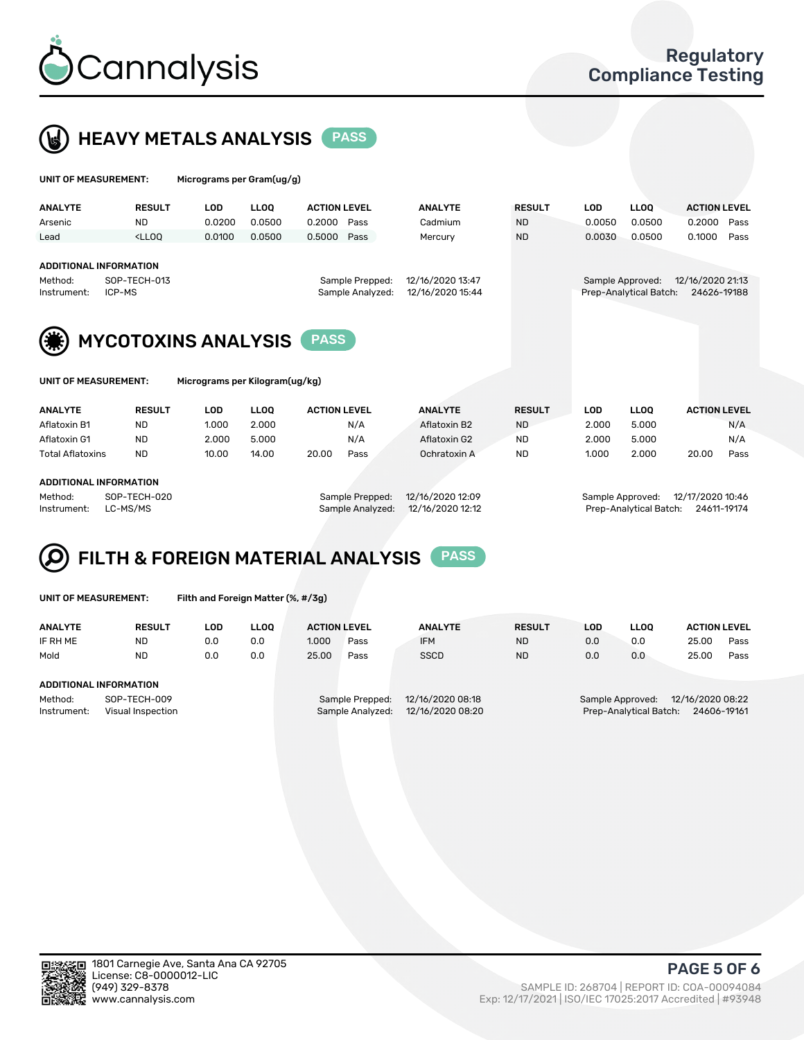

 $U$ UNIT OF MEASUREMENT: Micrograms per Gram(ug/g)



| <b>ANALYTE</b>                                                                                             | <b>RESULT</b>                                                                                                                                                       | <b>LOD</b> | <b>LLOO</b>                          | <b>ACTION LEVEL</b>                                                           | <b>ANALYTE</b> | <b>RESULT</b> | <b>LOD</b> | <b>LLOO</b> | <b>ACTION LEVEL</b> |  |
|------------------------------------------------------------------------------------------------------------|---------------------------------------------------------------------------------------------------------------------------------------------------------------------|------------|--------------------------------------|-------------------------------------------------------------------------------|----------------|---------------|------------|-------------|---------------------|--|
| Arsenic                                                                                                    | <b>ND</b>                                                                                                                                                           | 0.0200     | 0.0500                               | 0.2000<br>Pass                                                                | Cadmium        | <b>ND</b>     | 0.0050     | 0.0500      | 0.2000<br>Pass      |  |
| Lead                                                                                                       | <lloo< td=""><td>0.0100</td><td>0.0500</td><td>0.5000<br/>Pass</td><td>Mercury</td><td><b>ND</b></td><td>0.0030</td><td>0.0500</td><td>0.1000<br/>Pass</td></lloo<> | 0.0100     | 0.0500                               | 0.5000<br>Pass                                                                | Mercury        | <b>ND</b>     | 0.0030     | 0.0500      | 0.1000<br>Pass      |  |
| <b>ADDITIONAL INFORMATION</b><br>Method:<br>Instrument:                                                    | SOP-TECH-013<br>ICP-MS                                                                                                                                              |            | 12/16/2020 13:47<br>12/16/2020 15:44 | 12/16/2020 21:13<br>Sample Approved:<br>Prep-Analytical Batch:<br>24626-19188 |                |               |            |             |                     |  |
| <b>MYCOTOXINS ANALYSIS</b><br><b>PASS</b><br><b>UNIT OF MEASUREMENT:</b><br>Micrograms per Kilogram(ug/kg) |                                                                                                                                                                     |            |                                      |                                                                               |                |               |            |             |                     |  |
|                                                                                                            |                                                                                                                                                                     |            |                                      |                                                                               |                |               |            |             |                     |  |
| <b>ANALYTE</b>                                                                                             | <b>RESULT</b>                                                                                                                                                       | <b>LOD</b> | <b>LLOO</b>                          | <b>ACTION LEVEL</b>                                                           | <b>ANALYTE</b> | <b>RESULT</b> | <b>LOD</b> | <b>LLOQ</b> | <b>ACTION LEVEL</b> |  |
| Aflatoxin B1                                                                                               | <b>ND</b>                                                                                                                                                           | 1.000      | 2.000                                | N/A                                                                           | Aflatoxin B2   | <b>ND</b>     | 2.000      | 5.000       | N/A                 |  |
| Aflatoxin G1                                                                                               | <b>ND</b>                                                                                                                                                           | 2.000      | 5.000                                | N/A                                                                           | Aflatoxin G2   | <b>ND</b>     | 2.000      | 5.000       | N/A                 |  |

Total Aflatoxins ND 10.00 14.00 20.00 Pass Ochratoxin A ND 1.000 2.000 20.00 Pass

#### ADDITIONAL INFORMATION

Method: SOP-TECH-020 Sample Prepped: 12/16/2020 12:09 Sample Approved: 12/17/2020 10:46 Instrument: LC-MS/MS Sample Analyzed: 12/16/2020 12:12 Prep-Analytical Batch: 24611-19174



UNIT OF MEASUREMENT: Filth and Foreign Matter (%, #/3g)

| <b>ANALYTE</b>                | <b>RESULT</b>                     | LOD | <b>LLOO</b> | <b>ACTION LEVEL</b> |                                     | <b>ANALYTE</b>                       | <b>RESULT</b> | LOD | LLOO                                       | <b>ACTION LEVEL</b>             |      |
|-------------------------------|-----------------------------------|-----|-------------|---------------------|-------------------------------------|--------------------------------------|---------------|-----|--------------------------------------------|---------------------------------|------|
| IF RH ME                      | <b>ND</b>                         | 0.0 | 0.0         | 1.000               | Pass                                | <b>IFM</b>                           | <b>ND</b>     | 0.0 | 0.0                                        | 25.00                           | Pass |
| Mold                          | <b>ND</b>                         | 0.0 | 0.0         | 25.00               | Pass                                | <b>SSCD</b>                          | <b>ND</b>     | 0.0 | 0.0                                        | 25.00                           | Pass |
| <b>ADDITIONAL INFORMATION</b> |                                   |     |             |                     |                                     |                                      |               |     |                                            |                                 |      |
| Method:<br>Instrument:        | SOP-TECH-009<br>Visual Inspection |     |             |                     | Sample Prepped:<br>Sample Analyzed: | 12/16/2020 08:18<br>12/16/2020 08:20 |               |     | Sample Approved:<br>Prep-Analytical Batch: | 12/16/2020 08:22<br>24606-19161 |      |